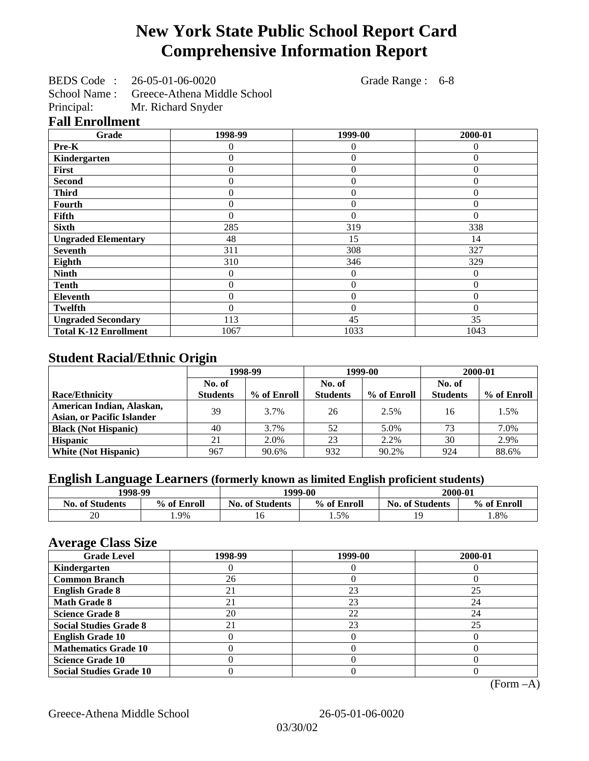# **New York State Public School Report Card Comprehensive Information Report**

BEDS Code : 26-05-01-06-0020 Grade Range : 6-8

School Name : Greece-Athena Middle School<br>Principal: Mr. Richard Snyder

Mr. Richard Snyder

## **Fall Enrollment**

| Grade                        | 1998-99 | 1999-00        | 2000-01  |
|------------------------------|---------|----------------|----------|
| Pre-K                        | 0       | 0              | 0        |
| Kindergarten                 | 0       | $\overline{0}$ | 0        |
| First                        | 0       | $\theta$       | 0        |
| <b>Second</b>                | 0       | $\Omega$       | 0        |
| <b>Third</b>                 | 0       | $\theta$       | $\theta$ |
| <b>Fourth</b>                | 0       | $\overline{0}$ | $_{0}$   |
| Fifth                        | 0       | $\theta$       | 0        |
| <b>Sixth</b>                 | 285     | 319            | 338      |
| <b>Ungraded Elementary</b>   | 48      | 15             | 14       |
| <b>Seventh</b>               | 311     | 308            | 327      |
| Eighth                       | 310     | 346            | 329      |
| <b>Ninth</b>                 | 0       | 0              | $\theta$ |
| <b>Tenth</b>                 | 0       | $\overline{0}$ | $\theta$ |
| <b>Eleventh</b>              | 0       | $\overline{0}$ | 0        |
| Twelfth                      | 0       | $\overline{0}$ | 0        |
| <b>Ungraded Secondary</b>    | 113     | 45             | 35       |
| <b>Total K-12 Enrollment</b> | 1067    | 1033           | 1043     |

# **Student Racial/Ethnic Origin**

|                                   | 1998-99         |             |                 | 1999-00     | 2000-01         |             |
|-----------------------------------|-----------------|-------------|-----------------|-------------|-----------------|-------------|
|                                   | No. of          |             | No. of          |             | No. of          |             |
| Race/Ethnicity                    | <b>Students</b> | % of Enroll | <b>Students</b> | % of Enroll | <b>Students</b> | % of Enroll |
| American Indian, Alaskan,         | 39              | 3.7%        | 26              | 2.5%        | 16              | 1.5%        |
| <b>Asian, or Pacific Islander</b> |                 |             |                 |             |                 |             |
| <b>Black (Not Hispanic)</b>       | 40              | 3.7%        | 52              | 5.0%        | 73              | 7.0%        |
| <b>Hispanic</b>                   | 21              | 2.0%        | 23              | 2.2%        | 30              | 2.9%        |
| <b>White (Not Hispanic)</b>       | 967             | 90.6%       | 932             | 90.2%       | 924             | 88.6%       |

# **English Language Learners (formerly known as limited English proficient students)**

| 1998-99                |             |                        | 1999-00     | 2000-01                |             |  |
|------------------------|-------------|------------------------|-------------|------------------------|-------------|--|
| <b>No. of Students</b> | % of Enroll | <b>No. of Students</b> | % of Enroll | <b>No. of Students</b> | % of Enroll |  |
| 20                     | 1.9%        | 16                     | 1.5%        | 1 C                    | .8%         |  |

### **Average Class Size**

| <u>ਾ</u> ਰਾ<br><b>Grade Level</b> | 1998-99 | 1999-00 | 2000-01 |
|-----------------------------------|---------|---------|---------|
| Kindergarten                      |         |         |         |
| <b>Common Branch</b>              | 26      |         |         |
| <b>English Grade 8</b>            | 21      | 23      | 25      |
| <b>Math Grade 8</b>               | 21      | 23      | 24      |
| <b>Science Grade 8</b>            | 20      | 22      | 24      |
| <b>Social Studies Grade 8</b>     | 21      | 23      | 25      |
| <b>English Grade 10</b>           |         |         |         |
| <b>Mathematics Grade 10</b>       |         |         |         |
| <b>Science Grade 10</b>           |         |         |         |
| <b>Social Studies Grade 10</b>    |         |         |         |

(Form –A)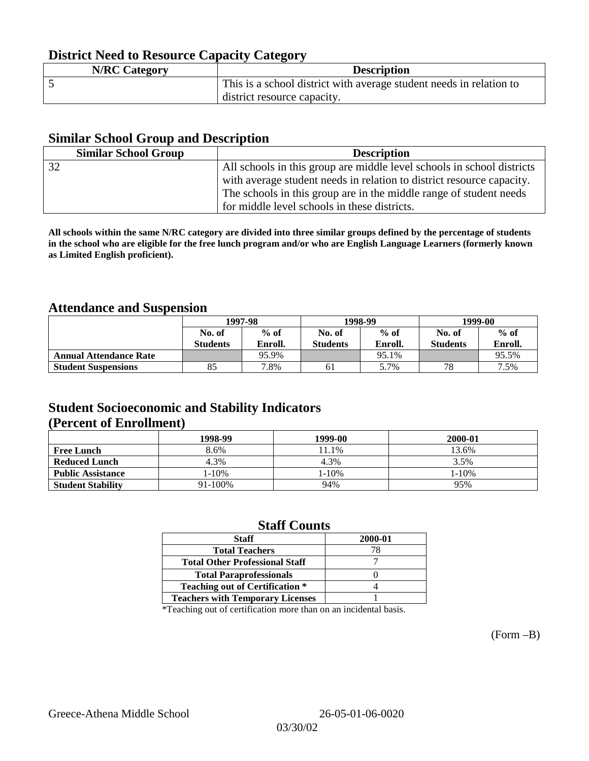# **District Need to Resource Capacity Category**

| <b>N/RC Category</b> | <b>Description</b>                                                  |
|----------------------|---------------------------------------------------------------------|
|                      | This is a school district with average student needs in relation to |
|                      | district resource capacity.                                         |

### **Similar School Group and Description**

| <b>Similar School Group</b> | <b>Description</b>                                                     |
|-----------------------------|------------------------------------------------------------------------|
| 32                          | All schools in this group are middle level schools in school districts |
|                             | with average student needs in relation to district resource capacity.  |
|                             | The schools in this group are in the middle range of student needs     |
|                             | for middle level schools in these districts.                           |

**All schools within the same N/RC category are divided into three similar groups defined by the percentage of students in the school who are eligible for the free lunch program and/or who are English Language Learners (formerly known as Limited English proficient).**

## **Attendance and Suspension**

|                               |                  | 1997-98 |                 | 1998-99 | 1999-00         |         |
|-------------------------------|------------------|---------|-----------------|---------|-----------------|---------|
|                               | $%$ of<br>No. of |         | No. of          | $%$ of  | No. of          | $%$ of  |
|                               | <b>Students</b>  | Enroll. | <b>Students</b> | Enroll. | <b>Students</b> | Enroll. |
| <b>Annual Attendance Rate</b> |                  | 95.9%   |                 | 95.1%   |                 | 95.5%   |
| <b>Student Suspensions</b>    | 85               | 7.8%    | 61              | 5.7%    | 78              | 7.5%    |

## **Student Socioeconomic and Stability Indicators (Percent of Enrollment)**

|                          | 1998-99    | 1999-00 | 2000-01 |
|--------------------------|------------|---------|---------|
| <b>Free Lunch</b>        | 8.6%       | 11.1%   | 13.6%   |
| <b>Reduced Lunch</b>     | 4.3%       | 4.3%    | 3.5%    |
| <b>Public Assistance</b> | $1 - 10\%$ | 1-10%   | 1-10%   |
| <b>Student Stability</b> | 91-100%    | 94%     | 95%     |

### **Staff Counts**

| <b>Staff</b>                            | 2000-01 |
|-----------------------------------------|---------|
| <b>Total Teachers</b>                   | 78      |
| <b>Total Other Professional Staff</b>   |         |
| <b>Total Paraprofessionals</b>          |         |
| <b>Teaching out of Certification *</b>  |         |
| <b>Teachers with Temporary Licenses</b> |         |

\*Teaching out of certification more than on an incidental basis.

(Form –B)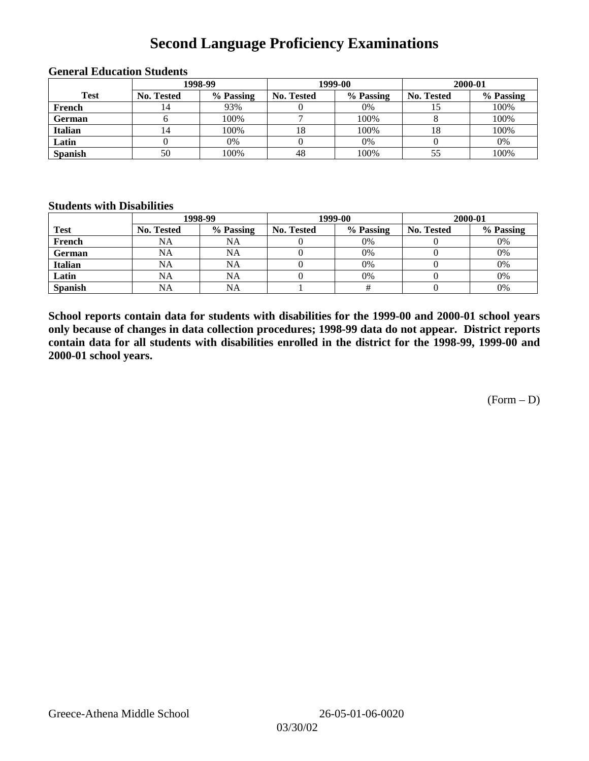# **Second Language Proficiency Examinations**

|                |            | 1998-99   |                   | 1999-00   | 2000-01    |           |  |
|----------------|------------|-----------|-------------------|-----------|------------|-----------|--|
| <b>Test</b>    | No. Tested | % Passing | <b>No. Tested</b> | % Passing | No. Tested | % Passing |  |
| French         | 4،         | 93%       |                   | 0%        |            | 100%      |  |
| <b>German</b>  |            | 100%      |                   | 100%      |            | 100%      |  |
| <b>Italian</b> | 4          | 100%      | 18                | 100%      |            | 100%      |  |
| Latin          |            | 0%        |                   | 0%        |            | 0%        |  |
| <b>Spanish</b> | 50         | 100%      | 48                | 100%      |            | 100%      |  |

#### **General Education Students**

#### **Students with Disabilities**

|                | 1998-99    |           |                   | 1999-00   | 2000-01           |           |  |
|----------------|------------|-----------|-------------------|-----------|-------------------|-----------|--|
| <b>Test</b>    | No. Tested | % Passing | <b>No. Tested</b> | % Passing | <b>No. Tested</b> | % Passing |  |
| French         | NA         | <b>NA</b> |                   | 0%        |                   | 0%        |  |
| <b>German</b>  | <b>NA</b>  | NA        |                   | 0%        |                   | 0%        |  |
| Italian        | <b>NA</b>  | NA        |                   | 0%        |                   | 0%        |  |
| Latin          | <b>NA</b>  | NA        |                   | $0\%$     |                   | 0%        |  |
| <b>Spanish</b> | <b>NA</b>  | NA        |                   |           |                   | 0%        |  |

**School reports contain data for students with disabilities for the 1999-00 and 2000-01 school years only because of changes in data collection procedures; 1998-99 data do not appear. District reports contain data for all students with disabilities enrolled in the district for the 1998-99, 1999-00 and 2000-01 school years.**

(Form – D)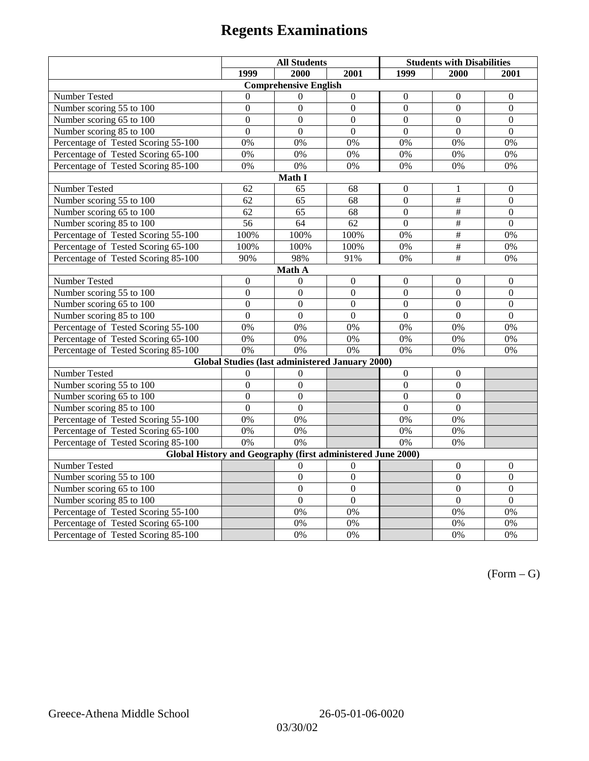|                                                                                     | <b>All Students</b> |                                                 |                  | <b>Students with Disabilities</b> |                           |                  |  |  |
|-------------------------------------------------------------------------------------|---------------------|-------------------------------------------------|------------------|-----------------------------------|---------------------------|------------------|--|--|
|                                                                                     | 1999                | 2000                                            | 2001             | 1999                              | 2000                      | 2001             |  |  |
|                                                                                     |                     | <b>Comprehensive English</b>                    |                  |                                   |                           |                  |  |  |
| Number Tested                                                                       | $\theta$            | $\Omega$                                        | $\boldsymbol{0}$ | $\boldsymbol{0}$                  | $\mathbf{0}$              | $\mathbf{0}$     |  |  |
| Number scoring 55 to 100                                                            | $\boldsymbol{0}$    | $\boldsymbol{0}$                                | $\boldsymbol{0}$ | $\mathbf{0}$                      | $\mathbf{0}$              | $\mathbf{0}$     |  |  |
| Number scoring 65 to 100                                                            | $\overline{0}$      | $\overline{0}$                                  | $\overline{0}$   | $\overline{0}$                    | $\overline{0}$            | $\mathbf{0}$     |  |  |
| Number scoring 85 to 100                                                            | $\overline{0}$      | $\overline{0}$                                  | $\overline{0}$   | $\overline{0}$                    | $\overline{0}$            | $\Omega$         |  |  |
| Percentage of Tested Scoring 55-100                                                 | 0%                  | 0%                                              | 0%               | 0%                                | 0%                        | 0%               |  |  |
| Percentage of Tested Scoring 65-100                                                 | 0%                  | 0%                                              | 0%               | 0%                                | 0%                        | 0%               |  |  |
| Percentage of Tested Scoring 85-100                                                 | 0%                  | 0%                                              | 0%               | 0%                                | 0%                        | 0%               |  |  |
|                                                                                     |                     | Math I                                          |                  |                                   |                           |                  |  |  |
| <b>Number Tested</b><br>62<br>65<br>68<br>$\boldsymbol{0}$<br>$\boldsymbol{0}$<br>1 |                     |                                                 |                  |                                   |                           |                  |  |  |
| Number scoring 55 to 100                                                            | 62                  | 65                                              | 68               | $\overline{0}$                    | $\overline{\overline{t}}$ | $\mathbf{0}$     |  |  |
| Number scoring 65 to 100                                                            | 62                  | 65                                              | 68               | $\overline{0}$                    | $\overline{\overline{t}}$ | $\mathbf{0}$     |  |  |
| Number scoring 85 to 100                                                            | $\overline{56}$     | $\overline{64}$                                 | $\overline{62}$  | $\overline{0}$                    | #                         | $\overline{0}$   |  |  |
| Percentage of Tested Scoring 55-100                                                 | 100%                | 100%                                            | 100%             | $0\%$                             | $\overline{\overline{}}$  | 0%               |  |  |
| Percentage of Tested Scoring 65-100                                                 | 100%                | 100%                                            | 100%             | 0%                                | $\#$                      | 0%               |  |  |
| Percentage of Tested Scoring 85-100                                                 | 90%                 | 98%                                             | 91%              | $0\%$                             | $\overline{+}$            | 0%               |  |  |
|                                                                                     |                     | Math A                                          |                  |                                   |                           |                  |  |  |
| Number Tested                                                                       | $\boldsymbol{0}$    | $\mathbf{0}$                                    | $\boldsymbol{0}$ | $\boldsymbol{0}$                  | $\boldsymbol{0}$          | $\boldsymbol{0}$ |  |  |
| Number scoring 55 to 100                                                            | $\boldsymbol{0}$    | $\boldsymbol{0}$                                | $\overline{0}$   | $\overline{0}$                    | $\overline{0}$            | $\boldsymbol{0}$ |  |  |
| Number scoring 65 to 100                                                            | $\mathbf{0}$        | $\mathbf{0}$                                    | $\mathbf{0}$     | $\overline{0}$                    | $\mathbf{0}$              | $\boldsymbol{0}$ |  |  |
| Number scoring 85 to 100                                                            | $\overline{0}$      | $\overline{0}$                                  | $\mathbf{0}$     | $\overline{0}$                    | $\mathbf{0}$              | $\mathbf{0}$     |  |  |
| Percentage of Tested Scoring 55-100                                                 | 0%                  | 0%                                              | 0%               | 0%                                | 0%                        | 0%               |  |  |
| Percentage of Tested Scoring 65-100                                                 | 0%                  | 0%                                              | $\overline{0\%}$ | $\overline{0\%}$                  | $\overline{0\%}$          | $\overline{0\%}$ |  |  |
| Percentage of Tested Scoring 85-100                                                 | 0%                  | 0%                                              | 0%               | 0%                                | 0%                        | 0%               |  |  |
|                                                                                     |                     | Global Studies (last administered January 2000) |                  |                                   |                           |                  |  |  |
| Number Tested                                                                       | $\boldsymbol{0}$    | $\boldsymbol{0}$                                |                  | $\mathbf{0}$                      | $\boldsymbol{0}$          |                  |  |  |
| Number scoring 55 to 100                                                            | $\overline{0}$      | $\overline{0}$                                  |                  | $\overline{0}$                    | $\overline{0}$            |                  |  |  |
| Number scoring 65 to 100                                                            | $\mathbf{0}$        | $\mathbf{0}$                                    |                  | $\theta$                          | $\mathbf{0}$              |                  |  |  |
| Number scoring 85 to 100                                                            | $\overline{0}$      | $\mathbf{0}$                                    |                  | $\overline{0}$                    | $\mathbf{0}$              |                  |  |  |
| Percentage of Tested Scoring 55-100                                                 | 0%                  | 0%                                              |                  | 0%                                | 0%                        |                  |  |  |
| Percentage of Tested Scoring 65-100                                                 | 0%                  | 0%                                              |                  | $0\%$                             | 0%                        |                  |  |  |
| Percentage of Tested Scoring 85-100                                                 | 0%                  | $\overline{0\%}$                                |                  | 0%                                | 0%                        |                  |  |  |
| Global History and Geography (first administered June 2000)                         |                     |                                                 |                  |                                   |                           |                  |  |  |
| Number Tested                                                                       |                     | 0                                               | $\overline{0}$   |                                   | $\mathbf{0}$              | $\mathbf{0}$     |  |  |
| Number scoring 55 to 100                                                            |                     | $\boldsymbol{0}$                                | $\overline{0}$   |                                   | $\boldsymbol{0}$          | $\boldsymbol{0}$ |  |  |
| Number scoring 65 to 100                                                            |                     | $\mathbf{0}$                                    | $\overline{0}$   |                                   | $\overline{0}$            | $\boldsymbol{0}$ |  |  |
| Number scoring 85 to 100                                                            |                     | $\overline{0}$                                  | $\overline{0}$   |                                   | $\overline{0}$            | $\overline{0}$   |  |  |
| Percentage of Tested Scoring 55-100                                                 |                     | 0%                                              | 0%               |                                   | 0%                        | 0%               |  |  |
| Percentage of Tested Scoring 65-100                                                 |                     | 0%                                              | 0%               |                                   | 0%                        | 0%               |  |  |
| Percentage of Tested Scoring 85-100                                                 |                     | 0%                                              | 0%               |                                   | 0%                        | 0%               |  |  |

 $(Form - G)$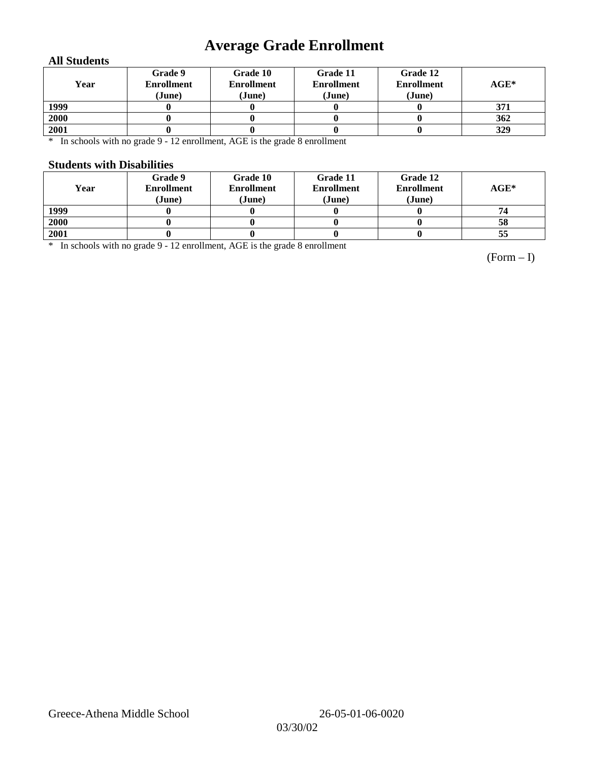# **Average Grade Enrollment**

### **All Students**

| Year | Grade 9<br><b>Enrollment</b><br>(June) | Grade 10<br><b>Enrollment</b><br>(June) | Grade 11<br><b>Enrollment</b><br>(June) | Grade 12<br><b>Enrollment</b><br>(June) | $AGE^*$ |
|------|----------------------------------------|-----------------------------------------|-----------------------------------------|-----------------------------------------|---------|
| 1999 |                                        |                                         |                                         |                                         | 371     |
| 2000 |                                        |                                         |                                         |                                         | 362     |
| 2001 |                                        |                                         |                                         |                                         | 329     |

\* In schools with no grade 9 - 12 enrollment, AGE is the grade 8 enrollment

#### **Students with Disabilities**

| Year | Grade 9<br><b>Enrollment</b><br>(June) | Grade 10<br><b>Enrollment</b><br>(June) | Grade 11<br><b>Enrollment</b><br>(June) | Grade 12<br><b>Enrollment</b><br>(June) | $AGE^*$ |
|------|----------------------------------------|-----------------------------------------|-----------------------------------------|-----------------------------------------|---------|
| 1999 |                                        |                                         |                                         |                                         | 74      |
| 2000 |                                        |                                         |                                         |                                         | 58      |
| 2001 |                                        |                                         |                                         |                                         | 55      |

\* In schools with no grade 9 - 12 enrollment, AGE is the grade 8 enrollment

(Form – I)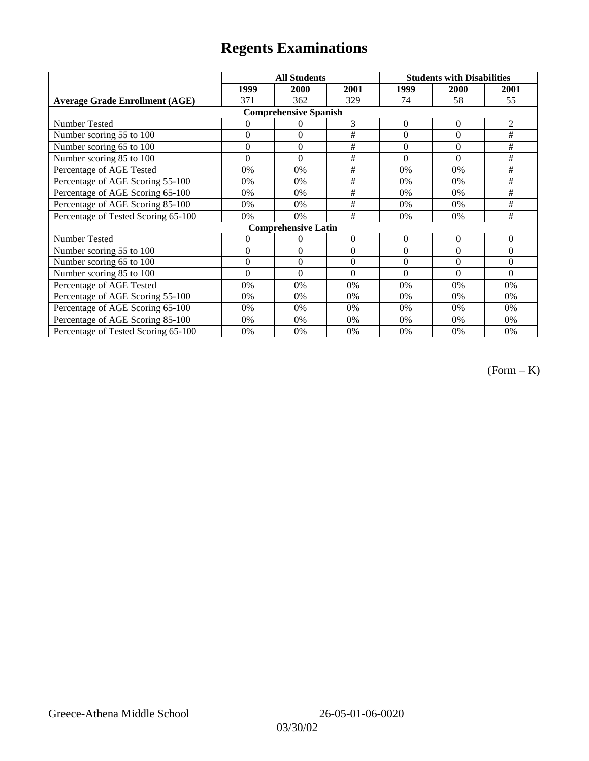|                                       | <b>All Students</b> |                            |                | <b>Students with Disabilities</b> |                |          |  |  |
|---------------------------------------|---------------------|----------------------------|----------------|-----------------------------------|----------------|----------|--|--|
|                                       | 1999                | 2000                       | 2001           | 1999                              | 2000           | 2001     |  |  |
| <b>Average Grade Enrollment (AGE)</b> | 371                 | 362                        | 329            | 74                                | 58             | 55       |  |  |
| <b>Comprehensive Spanish</b>          |                     |                            |                |                                   |                |          |  |  |
| <b>Number Tested</b>                  | $\theta$            | $\Omega$                   | 3              | $\overline{0}$                    | $\overline{0}$ | 2        |  |  |
| Number scoring 55 to 100              | $\mathbf{0}$        | $\theta$                   | #              | $\theta$                          | $\theta$       | #        |  |  |
| Number scoring 65 to 100              | $\boldsymbol{0}$    | $\mathbf{0}$               | #              | $\theta$                          | $\theta$       | #        |  |  |
| Number scoring 85 to 100              | $\theta$            | $\theta$                   | #              | $\theta$                          | $\Omega$       | #        |  |  |
| Percentage of AGE Tested              | 0%                  | 0%                         | $\#$           | 0%                                | 0%             | $\#$     |  |  |
| Percentage of AGE Scoring 55-100      | 0%                  | 0%                         | $\#$           | 0%                                | 0%             | $\#$     |  |  |
| Percentage of AGE Scoring 65-100      | 0%                  | 0%                         | #              | 0%                                | 0%             | #        |  |  |
| Percentage of AGE Scoring 85-100      | 0%                  | 0%                         | #              | 0%                                | 0%             | #        |  |  |
| Percentage of Tested Scoring 65-100   | 0%                  | 0%                         | #              | $0\%$                             | 0%             | #        |  |  |
|                                       |                     | <b>Comprehensive Latin</b> |                |                                   |                |          |  |  |
| Number Tested                         | 0                   | $\left( \right)$           | $\theta$       | $\overline{0}$                    | $\overline{0}$ | $\theta$ |  |  |
| Number scoring 55 to 100              | $\overline{0}$      | $\theta$                   | $\overline{0}$ | $\overline{0}$                    | $\theta$       | $\theta$ |  |  |
| Number scoring 65 to 100              | $\mathbf{0}$        | $\theta$                   | $\theta$       | $\theta$                          | $\theta$       | $\Omega$ |  |  |
| Number scoring 85 to 100              | $\theta$            | $\theta$                   | $\theta$       | $\theta$                          | $\theta$       | $\Omega$ |  |  |
| Percentage of AGE Tested              | 0%                  | 0%                         | 0%             | 0%                                | 0%             | 0%       |  |  |
| Percentage of AGE Scoring 55-100      | 0%                  | 0%                         | 0%             | 0%                                | 0%             | 0%       |  |  |
| Percentage of AGE Scoring 65-100      | 0%                  | 0%                         | 0%             | 0%                                | 0%             | 0%       |  |  |
| Percentage of AGE Scoring 85-100      | 0%                  | 0%                         | 0%             | 0%                                | 0%             | 0%       |  |  |
| Percentage of Tested Scoring 65-100   | 0%                  | 0%                         | 0%             | 0%                                | 0%             | 0%       |  |  |

(Form – K)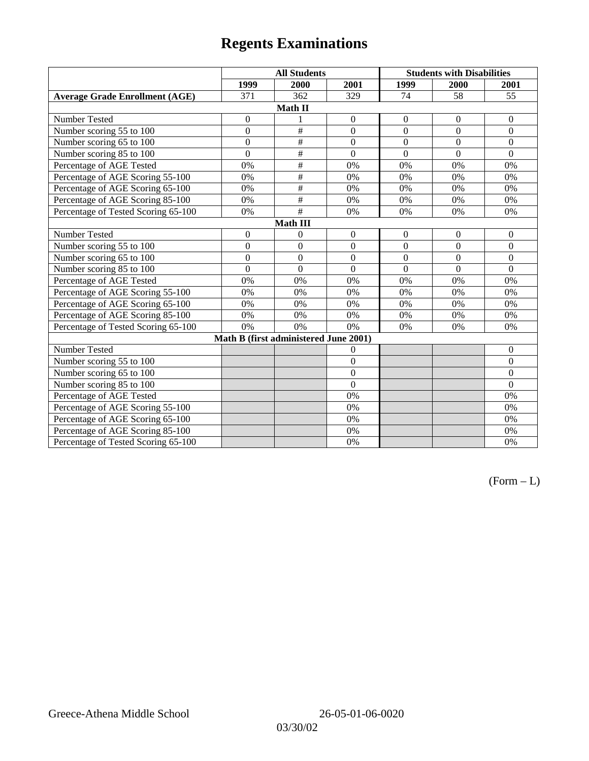|                                       | <b>All Students</b> |                         |                  | <b>Students with Disabilities</b> |                  |                  |  |  |
|---------------------------------------|---------------------|-------------------------|------------------|-----------------------------------|------------------|------------------|--|--|
|                                       | 1999                | 2000                    | 2001             | 1999                              | 2000             | 2001             |  |  |
| <b>Average Grade Enrollment (AGE)</b> | 371                 | 362                     | 329              | 74                                | 58               | 55               |  |  |
| Math II                               |                     |                         |                  |                                   |                  |                  |  |  |
| Number Tested                         | $\boldsymbol{0}$    | 1                       | $\boldsymbol{0}$ | $\boldsymbol{0}$                  | $\boldsymbol{0}$ | $\boldsymbol{0}$ |  |  |
| Number scoring 55 to 100              | $\overline{0}$      | $\#$                    | $\overline{0}$   | $\overline{0}$                    | $\overline{0}$   | $\mathbf{0}$     |  |  |
| Number scoring 65 to 100              | $\mathbf{0}$        | $\#$                    | $\overline{0}$   | $\overline{0}$                    | $\mathbf{0}$     | $\boldsymbol{0}$ |  |  |
| Number scoring 85 to 100              | $\overline{0}$      | $\overline{\#}$         | $\overline{0}$   | $\overline{0}$                    | $\overline{0}$   | $\overline{0}$   |  |  |
| Percentage of AGE Tested              | 0%                  | $\overline{\ddot{\pi}}$ | 0%               | 0%                                | 0%               | 0%               |  |  |
| Percentage of AGE Scoring 55-100      | 0%                  | $\#$                    | 0%               | 0%                                | 0%               | 0%               |  |  |
| Percentage of AGE Scoring 65-100      | 0%                  | $\#$                    | 0%               | 0%                                | 0%               | 0%               |  |  |
| Percentage of AGE Scoring 85-100      | 0%                  | $\#$                    | 0%               | 0%                                | 0%               | 0%               |  |  |
| Percentage of Tested Scoring 65-100   | 0%                  | $\overline{\#}$         | 0%               | 0%                                | 0%               | 0%               |  |  |
|                                       |                     | <b>Math III</b>         |                  |                                   |                  |                  |  |  |
| <b>Number Tested</b>                  | $\mathbf{0}$        | $\theta$                | $\mathbf{0}$     | $\mathbf{0}$                      | $\mathbf{0}$     | $\mathbf{0}$     |  |  |
| Number scoring 55 to 100              | $\overline{0}$      | $\overline{0}$          | $\overline{0}$   | $\overline{0}$                    | $\overline{0}$   | $\mathbf{0}$     |  |  |
| Number scoring 65 to 100              | $\boldsymbol{0}$    | $\boldsymbol{0}$        | $\overline{0}$   | $\theta$                          | $\theta$         | $\theta$         |  |  |
| Number scoring 85 to 100              | $\overline{0}$      | $\theta$                | $\theta$         | $\theta$                          | $\theta$         | $\Omega$         |  |  |
| Percentage of AGE Tested              | 0%                  | 0%                      | 0%               | 0%                                | 0%               | 0%               |  |  |
| Percentage of AGE Scoring 55-100      | 0%                  | 0%                      | 0%               | 0%                                | 0%               | 0%               |  |  |
| Percentage of AGE Scoring 65-100      | 0%                  | 0%                      | 0%               | 0%                                | 0%               | 0%               |  |  |
| Percentage of AGE Scoring 85-100      | 0%                  | 0%                      | 0%               | 0%                                | 0%               | 0%               |  |  |
| Percentage of Tested Scoring 65-100   | 0%                  | 0%                      | 0%               | 0%                                | 0%               | 0%               |  |  |
| Math B (first administered June 2001) |                     |                         |                  |                                   |                  |                  |  |  |
| Number Tested                         |                     |                         | $\overline{0}$   |                                   |                  | $\theta$         |  |  |
| Number scoring 55 to 100              |                     |                         | $\overline{0}$   |                                   |                  | $\Omega$         |  |  |
| Number scoring 65 to 100              |                     |                         | $\overline{0}$   |                                   |                  | $\mathbf{0}$     |  |  |
| Number scoring 85 to 100              |                     |                         | $\theta$         |                                   |                  | $\mathbf{0}$     |  |  |
| Percentage of AGE Tested              |                     |                         | 0%               |                                   |                  | 0%               |  |  |
| Percentage of AGE Scoring 55-100      |                     |                         | 0%               |                                   |                  | 0%               |  |  |
| Percentage of AGE Scoring 65-100      |                     |                         | 0%               |                                   |                  | 0%               |  |  |
| Percentage of AGE Scoring 85-100      |                     |                         | 0%               |                                   |                  | 0%               |  |  |
| Percentage of Tested Scoring 65-100   |                     |                         | 0%               |                                   |                  | 0%               |  |  |

 $(Form - L)$